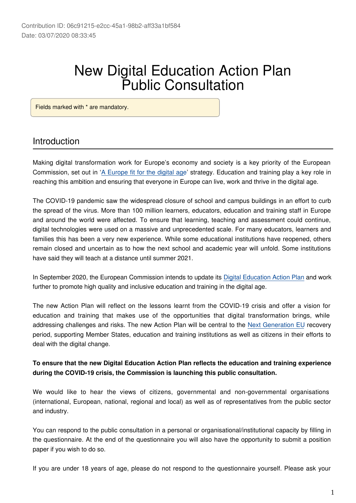# New Digital Education Action Plan Public Consultation

Fields marked with \* are mandatory.

### Introduction

Making digital transformation work for Europe's economy and society is a key priority of the European Commission, set out in ['A Europe fit for the digital age](https://ec.europa.eu/info/priorities/europe-fit-digital-age_en)' strategy. Education and training play a key role in reaching this ambition and ensuring that everyone in Europe can live, work and thrive in the digital age.

The COVID-19 pandemic saw the widespread closure of school and campus buildings in an effort to curb the spread of the virus. More than 100 million learners, educators, education and training staff in Europe and around the world were affected. To ensure that learning, teaching and assessment could continue, digital technologies were used on a massive and unprecedented scale. For many educators, learners and families this has been a very new experience. While some educational institutions have reopened, others remain closed and uncertain as to how the next school and academic year will unfold. Some institutions have said they will teach at a distance until summer 2021.

In September 2020, the European Commission intends to update its [Digital Education Action Plan](https://ec.europa.eu/education/education-in-the-eu/digital-education-action-plan_en) and work further to promote high quality and inclusive education and training in the digital age.

The new Action Plan will reflect on the lessons learnt from the COVID-19 crisis and offer a vision for education and training that makes use of the opportunities that digital transformation brings, while addressing challenges and risks. The new Action Plan will be central to the [Next Generation EU](https://ec.europa.eu/commission/presscorner/detail/en/ip_20_940) recovery period, supporting Member States, education and training institutions as well as citizens in their efforts to deal with the digital change.

### **To ensure that the new Digital Education Action Plan reflects the education and training experience during the COVID-19 crisis, the Commission is launching this public consultation.**

We would like to hear the views of citizens, governmental and non-governmental organisations (international, European, national, regional and local) as well as of representatives from the public sector and industry.

You can respond to the public consultation in a personal or organisational/institutional capacity by filling in the questionnaire. At the end of the questionnaire you will also have the opportunity to submit a position paper if you wish to do so.

If you are under 18 years of age, please do not respond to the questionnaire yourself. Please ask your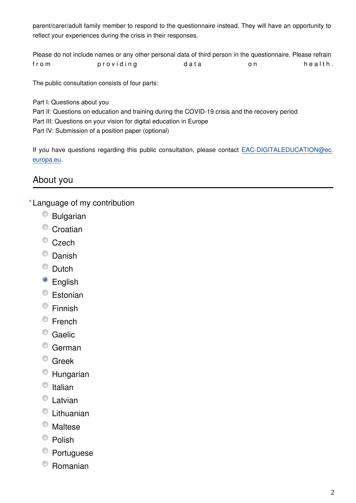parent/carer/adult family member to respond to the questionnaire instead. They will have an opportunity to reflect your experiences during the crisis in their responses.

Please do not include names or any other personal data of third person in the questionnaire. Please refrain from providing data on health.

The public consultation consists of four parts:

Part I: Questions about you Part II: Questions on education and training during the COVID-19 crisis and the recovery period Part III: Questions on your vision for digital education in Europe Part IV: Submission of a position paper (optional)

If you have questions regarding this public consultation, please contact EAC-DIGITALEDUCATION@ec. europa.eu.

# About you

### Language of my contribution **\***

- Bulgarian
- <sup>O</sup> Croatian
- <sup>©</sup> Czech
- <sup>O</sup> Danish
- <sup>O</sup> Dutch
- <sup>O</sup> English
- Estonian
- Finnish
- <sup>©</sup> French
- <sup>O</sup> Gaelic
- <sup>o</sup> German
- <sup>©</sup> Greek
- Hungarian
- $\circ$  Italian
- <sup>t</sup>Latvian
- Lithuanian
- Maltese
- <sup>©</sup> Polish
- <sup>O</sup> Portuguese
- Romanian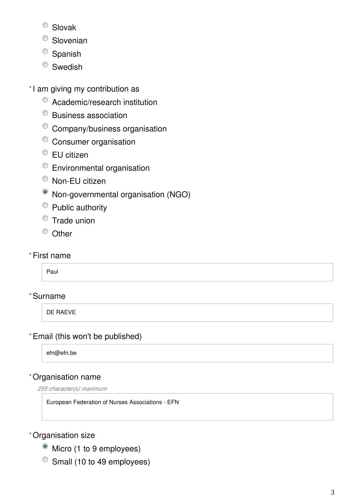- Slovak
- <sup>O</sup> Slovenian
- <sup>O</sup> Spanish
- <sup>O</sup> Swedish
- \*I am giving my contribution as
	- Academic/research institution
	- Business association
	- Company/business organisation
	- <sup>o</sup> Consumer organisation
	- <sup>●</sup> EU citizen
	- Environmental organisation
	- Non-EU citizen
	- Non-governmental organisation (NGO)
	- Public authority
	- $\bullet$  Trade union
	- <sup>O</sup> Other
- First name **\***

Paul

# Surname **\***

DE RAEVE

# Email (this won't be published) **\***

efn@efn.be

### Organisation name **\***

*255 character(s) maximum*

European Federation of Nurses Associations - EFN

### Organisation size **\***

- Micro (1 to 9 employees)
- Small (10 to 49 employees)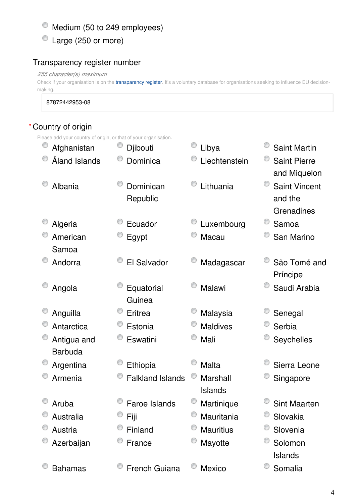$^{\circ}$  Medium (50 to 249 employees)

Large (250 or more)

### Transparency register number

*255 character(s) maximum*

Check if your organisation is on the [transparency register](http://ec.europa.eu/transparencyregister/public/homePage.do?redir=false&locale=en). It's a voluntary database for organisations seeking to influence EU decisionmaking.

87872442953-08

### Country of origin **\***

Please add your country of origin, or that of your organisation.

| Afghanistan    | Djibouti                | O<br>Libya       | <b>Saint Martin</b>  |
|----------------|-------------------------|------------------|----------------------|
| Åland Islands  | Dominica                | Liechtenstein    | <b>Saint Pierre</b>  |
|                |                         |                  | and Miquelon         |
| Albania        | Dominican               | Lithuania        | <b>Saint Vincent</b> |
|                | Republic                |                  | and the              |
|                |                         |                  | Grenadines           |
| Algeria        | Ecuador                 | Luxembourg       | Samoa                |
| American       | Egypt                   | Macau            | San Marino           |
| Samoa          |                         |                  |                      |
| Andorra        | El Salvador             | Madagascar       | São Tomé and         |
|                |                         |                  | Príncipe             |
| Angola         | Equatorial              | Malawi           | Saudi Arabia         |
|                | Guinea                  |                  |                      |
| Anguilla       | Eritrea                 | Malaysia         | Senegal              |
| Antarctica     | Estonia                 | <b>Maldives</b>  | Serbia               |
| Antigua and    | Eswatini                | Mali             | Seychelles           |
| <b>Barbuda</b> |                         |                  |                      |
| Argentina      | Ethiopia                | <b>Malta</b>     | Sierra Leone         |
| Armenia        | <b>Falkland Islands</b> | <b>Marshall</b>  | Singapore            |
|                |                         | <b>Islands</b>   |                      |
| Aruba          | Faroe Islands           | Martinique       | <b>Sint Maarten</b>  |
| Australia      | Fiji                    | Mauritania       | Slovakia             |
| Austria        | Finland                 | <b>Mauritius</b> | Slovenia             |
| Azerbaijan     | France                  | Mayotte          | Solomon              |
|                |                         |                  | <b>Islands</b>       |
| <b>Bahamas</b> | <b>French Guiana</b>    | Mexico           | Somalia              |
|                |                         |                  |                      |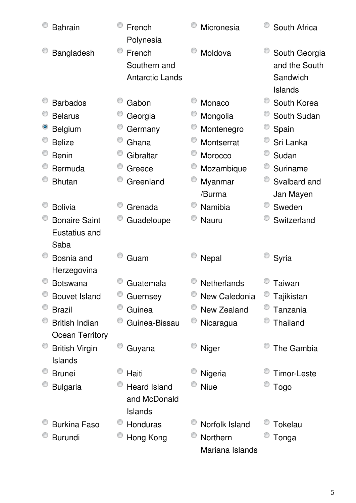| <b>Bahrain</b>                 | French<br>Polynesia                              | Micronesia      | South Africa                                                 |
|--------------------------------|--------------------------------------------------|-----------------|--------------------------------------------------------------|
| Bangladesh                     | French<br>Southern and<br><b>Antarctic Lands</b> | Moldova         | South Georgia<br>and the South<br>Sandwich<br><b>Islands</b> |
| <b>Barbados</b>                | Gabon                                            | Monaco          | South Korea                                                  |
| <b>Belarus</b>                 | Georgia                                          | Mongolia        | South Sudan                                                  |
| <b>Belgium</b>                 | Germany                                          | Montenegro      | Spain                                                        |
| <b>Belize</b>                  | Ghana                                            | Montserrat      | Sri Lanka                                                    |
| <b>Benin</b>                   | Gibraltar                                        | Morocco         | Sudan                                                        |
| Bermuda                        | Greece                                           | Mozambique      | Suriname                                                     |
| <b>Bhutan</b>                  | Greenland                                        | Myanmar         | Svalbard and                                                 |
|                                |                                                  | /Burma          | Jan Mayen                                                    |
| <b>Bolivia</b>                 | Grenada                                          | Namibia         | Sweden                                                       |
| <b>Bonaire Saint</b>           | Guadeloupe                                       | Nauru           | Switzerland                                                  |
| Eustatius and                  |                                                  |                 |                                                              |
| Saba                           |                                                  |                 |                                                              |
| Bosnia and                     | Guam                                             | Nepal           | Syria                                                        |
| Herzegovina<br><b>Botswana</b> | Guatemala                                        | Netherlands     | Taiwan                                                       |
| <b>Bouvet Island</b>           | Guernsey                                         | New Caledonia   | Tajikistan                                                   |
| <b>Brazil</b>                  | Guinea                                           | New Zealand     | Tanzania                                                     |
| <b>British Indian</b>          | Guinea-Bissau                                    | Nicaragua       | Thailand                                                     |
| <b>Ocean Territory</b>         |                                                  |                 |                                                              |
| <b>British Virgin</b>          | Guyana                                           | Niger           | The Gambia                                                   |
| Islands                        |                                                  |                 |                                                              |
| <b>Brunei</b>                  | Haiti                                            | Nigeria         | <b>Timor-Leste</b>                                           |
| <b>Bulgaria</b>                | <b>Heard Island</b>                              | <b>Niue</b>     | Togo                                                         |
|                                | and McDonald                                     |                 |                                                              |
|                                | <b>Islands</b>                                   |                 |                                                              |
| <b>Burkina Faso</b>            | Honduras                                         | Norfolk Island  | Tokelau                                                      |
| <b>Burundi</b>                 | Hong Kong                                        | Northern        | Tonga                                                        |
|                                |                                                  | Mariana Islands |                                                              |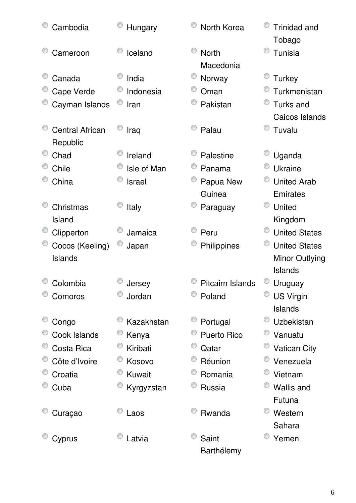| Cambodia                           | Hungary       | North Korea               | <b>Trinidad and</b><br>Tobago |
|------------------------------------|---------------|---------------------------|-------------------------------|
| Cameroon                           | Iceland       | <b>North</b><br>Macedonia | Tunisia                       |
| Canada                             | India         | Norway                    | <b>Turkey</b>                 |
| Cape Verde                         | Indonesia     | Oman                      | Turkmenistan                  |
| Cayman Islands                     | Iran          | Pakistan                  | <b>Turks and</b>              |
|                                    |               |                           | Caicos Islands                |
| <b>Central African</b><br>Republic | Iraq          | Palau                     | Tuvalu                        |
| Chad                               | Ireland       | Palestine                 | Uganda                        |
| Chile                              | Isle of Man   | Panama                    | <b>Ukraine</b>                |
| China                              | <b>Israel</b> | Papua New                 | <b>United Arab</b>            |
|                                    |               | Guinea                    | Emirates                      |
| Christmas                          | Italy         | Paraguay                  | United                        |
| Island                             |               |                           | Kingdom                       |
| Clipperton                         | Jamaica       | Peru                      | <b>United States</b>          |
| Cocos (Keeling)                    | Japan         | Philippines               | <b>United States</b>          |
| Islands                            |               |                           | Minor Outlying                |
|                                    |               |                           | <b>Islands</b>                |
| Colombia                           | Jersey        | Pitcairn Islands          | Uruguay                       |
| Comoros                            | Jordan        | Poland                    | <b>US Virgin</b>              |
|                                    |               |                           | <b>Islands</b>                |
| Congo                              | Kazakhstan    | Portugal                  | Uzbekistan                    |
| Cook Islands                       | Kenya         | Puerto Rico               | Vanuatu                       |
| Costa Rica                         | Kiribati      | Qatar                     | <b>Vatican City</b>           |
| Côte d'Ivoire                      | Kosovo        | Réunion                   | Venezuela                     |
| Croatia                            | Kuwait        | Romania                   | Vietnam                       |
| Cuba                               | Kyrgyzstan    | Russia                    | <b>Wallis and</b>             |
|                                    |               |                           | Futuna                        |
| Curaçao                            | Laos          | Rwanda                    | Western                       |
|                                    |               |                           | Sahara                        |
| Cyprus                             | Latvia        | Saint                     | Yemen                         |
|                                    |               | Barthélemy                |                               |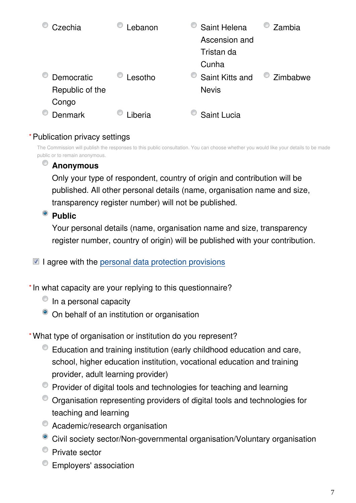| Czechia         | ebanon  | Saint Helena    | Zambia   |
|-----------------|---------|-----------------|----------|
|                 |         | Ascension and   |          |
|                 |         | Tristan da      |          |
|                 |         | Cunha           |          |
| Democratic      | Lesotho | Saint Kitts and | Zimbabwe |
| Republic of the |         | <b>Nevis</b>    |          |
| Congo           |         |                 |          |
| <b>Denmark</b>  | .iberia | Saint Lucia     |          |

### Publication privacy settings **\***

The Commission will publish the responses to this public consultation. You can choose whether you would like your details to be made public or to remain anonymous.

# **Anonymous**

Only your type of respondent, country of origin and contribution will be published. All other personal details (name, organisation name and size, transparency register number) will not be published.

# <sup>o</sup> Public

Your personal details (name, organisation name and size, transparency register number, country of origin) will be published with your contribution.

 $\blacksquare$  I agree with the [personal data protection provisions](https://ec.europa.eu/info/law/better-regulation/specific-privacy-statement_en)

\* In what capacity are your replying to this questionnaire?

- $\circ$  In a personal capacity
- On behalf of an institution or organisation

What type of organisation or institution do you represent? **\***

- Education and training institution (early childhood education and care, school, higher education institution, vocational education and training provider, adult learning provider)
- Provider of digital tools and technologies for teaching and learning
- Organisation representing providers of digital tools and technologies for teaching and learning
- Academic/research organisation
- Civil society sector/Non-governmental organisation/Voluntary organisation
- **Private sector**
- <sup>t</sup> Employers' association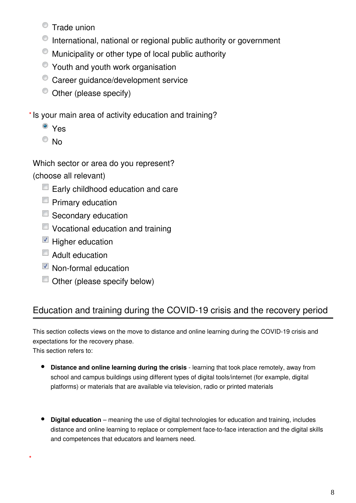- **Trade union**
- $\bullet$  International, national or regional public authority or government
- $\bullet$  Municipality or other type of local public authority
- $\bullet$  Youth and youth work organisation
- <sup>©</sup> Career guidance/development service
- $\bullet$  Other (please specify)
- \* Is your main area of activity education and training?
	- <sup>o</sup> Yes
	- $\odot$  No

Which sector or area do you represent?

(choose all relevant)

- $\Box$  Early childhood education and care
- $\blacksquare$  Primary education
- Secondary education
- Vocational education and training
- $\blacksquare$  Higher education
- $\Box$  Adult education
- Non-formal education
- Other (please specify below)

# Education and training during the COVID-19 crisis and the recovery period

This section collects views on the move to distance and online learning during the COVID-19 crisis and expectations for the recovery phase.

This section refers to:

**\***

- **Distance and online learning during the crisis** learning that took place remotely, away from school and campus buildings using different types of digital tools/internet (for example, digital platforms) or materials that are available via television, radio or printed materials
- **Digital education** meaning the use of digital technologies for education and training, includes distance and online learning to replace or complement face-to-face interaction and the digital skills and competences that educators and learners need.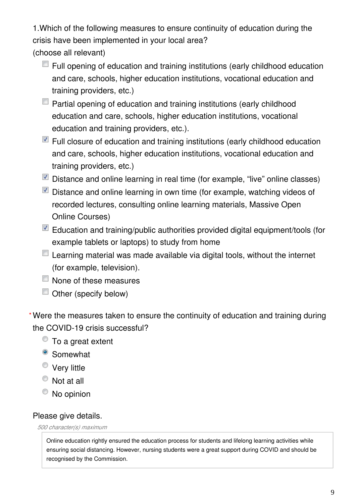1.Which of the following measures to ensure continuity of education during the crisis have been implemented in your local area?

(choose all relevant)

- $\blacksquare$  Full opening of education and training institutions (early childhood education and care, schools, higher education institutions, vocational education and training providers, etc.)
- $\Box$  Partial opening of education and training institutions (early childhood education and care, schools, higher education institutions, vocational education and training providers, etc.).
- $\blacksquare$  Full closure of education and training institutions (early childhood education and care, schools, higher education institutions, vocational education and training providers, etc.)
- $\blacksquare$  Distance and online learning in real time (for example, "live" online classes)
- Distance and online learning in own time (for example, watching videos of recorded lectures, consulting online learning materials, Massive Open Online Courses)
- Education and training/public authorities provided digital equipment/tools (for example tablets or laptops) to study from home
- $\Box$  Learning material was made available via digital tools, without the internet (for example, television).
- None of these measures
- Other (specify below)

Were the measures taken to ensure the continuity of education and training during **\***the COVID-19 crisis successful?

- To a great extent
- <sup>o</sup> Somewhat
- Very little
- Not at all
- <sup>O</sup> No opinion

### Please give details.

#### *500 character(s) maximum*

Online education rightly ensured the education process for students and lifelong learning activities while ensuring social distancing. However, nursing students were a great support during COVID and should be recognised by the Commission.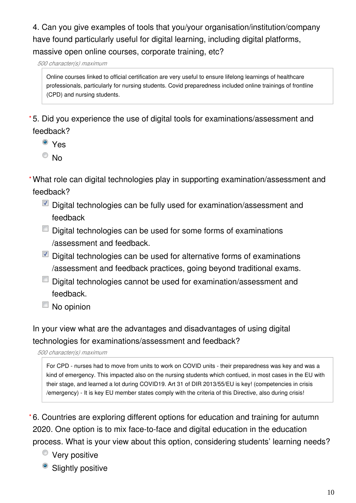4. Can you give examples of tools that you/your organisation/institution/company have found particularly useful for digital learning, including digital platforms, massive open online courses, corporate training, etc?

*500 character(s) maximum*

Online courses linked to official certification are very useful to ensure lifelong learnings of healthcare professionals, particularly for nursing students. Covid preparedness included online trainings of frontline (CPD) and nursing students.

5. Did you experience the use of digital tools for examinations/assessment and **\*** feedback?

- <sup>o</sup> Yes
- <sup>O</sup>No

What role can digital technologies play in supporting examination/assessment and **\*** feedback?

- Digital technologies can be fully used for examination/assessment and feedback
- $\Box$  Digital technologies can be used for some forms of examinations /assessment and feedback.
- $\blacksquare$  Digital technologies can be used for alternative forms of examinations /assessment and feedback practices, going beyond traditional exams.
- Digital technologies cannot be used for examination/assessment and feedback.
- No opinion

In your view what are the advantages and disadvantages of using digital technologies for examinations/assessment and feedback?

*500 character(s) maximum*

For CPD - nurses had to move from units to work on COVID units - their preparedness was key and was a kind of emergency. This impacted also on the nursing students which contiued, in most cases in the EU with their stage, and learned a lot during COVID19. Art 31 of DIR 2013/55/EU is key! (competencies in crisis /emergency) - It is key EU member states comply with the criteria of this Directive, also during crisis!

6. Countries are exploring different options for education and training for autumn **\***2020. One option is to mix face-to-face and digital education in the education process. What is your view about this option, considering students' learning needs?

- **Very positive**
- Slightly positive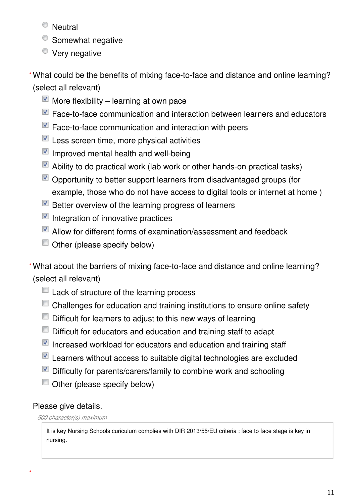- <sup>O</sup> Neutral
- <sup>o</sup> Somewhat negative
- **Very negative**
- What could be the benefits of mixing face-to-face and distance and online learning? **\*** (select all relevant)
	- More flexibility learning at own pace
	- Face-to-face communication and interaction between learners and educators
	- Face-to-face communication and interaction with peers
	- $\blacksquare$  Less screen time, more physical activities
	- $\blacksquare$  Improved mental health and well-being
	- $\blacksquare$  Ability to do practical work (lab work or other hands-on practical tasks)
	- $\blacksquare$  Opportunity to better support learners from disadvantaged groups (for example, those who do not have access to digital tools or internet at home )
	- Better overview of the learning progress of learners
	- $\blacksquare$  Integration of innovative practices
	- Allow for different forms of examination/assessment and feedback
	- Other (please specify below)

What about the barriers of mixing face-to-face and distance and online learning? **\*** (select all relevant)

- Lack of structure of the learning process
- Challenges for education and training institutions to ensure online safety
- $\Box$  Difficult for learners to adjust to this new ways of learning
- $\Box$  Difficult for educators and education and training staff to adapt
- $\blacksquare$  Increased workload for educators and education and training staff
- Learners without access to suitable digital technologies are excluded
- Difficulty for parents/carers/family to combine work and schooling
- $\Box$  Other (please specify below)

### Please give details.

**\***

### *500 character(s) maximum*

It is key Nursing Schools curiculum complies with DIR 2013/55/EU criteria : face to face stage is key in nursing.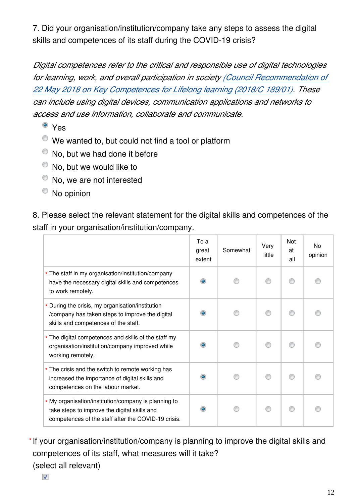7. Did your organisation/institution/company take any steps to assess the digital skills and competences of its staff during the COVID-19 crisis?

*Digital competences refer to the critical and responsible use of digital technologies for learning, work, and overall participation in society [\(Council Recommendation of](https://eur-lex.europa.eu/legal-content/EN/TXT/?uri=CELEX%3A32018H0604%2801%29)  [22 May 2018 on Key Competences for Lifelong learning \(2018/C 189/01\)](https://eur-lex.europa.eu/legal-content/EN/TXT/?uri=CELEX%3A32018H0604%2801%29). These can include using digital devices, communication applications and networks to access and use information, collaborate and communicate.*

- <sup>o</sup> Yes
- $\bullet$  We wanted to, but could not find a tool or platform
- $\bullet$  No, but we had done it before
- $\bullet$  No, but we would like to
- No, we are not interested
- <sup>O</sup> No opinion

8. Please select the relevant statement for the digital skills and competences of the staff in your organisation/institution/company.

|                                                                                                                                                             | To a<br>great<br>extent | Somewhat | Very<br>little | <b>Not</b><br>at<br>all | N <sub>o</sub><br>opinion |
|-------------------------------------------------------------------------------------------------------------------------------------------------------------|-------------------------|----------|----------------|-------------------------|---------------------------|
| * The staff in my organisation/institution/company<br>have the necessary digital skills and competences<br>to work remotely.                                |                         |          |                |                         |                           |
| * During the crisis, my organisation/institution<br>/company has taken steps to improve the digital<br>skills and competences of the staff.                 |                         |          |                |                         |                           |
| * The digital competences and skills of the staff my<br>organisation/institution/company improved while<br>working remotely.                                |                         |          |                |                         |                           |
| * The crisis and the switch to remote working has<br>increased the importance of digital skills and<br>competences on the labour market.                    | ۰                       |          |                |                         |                           |
| * My organisation/institution/company is planning to<br>take steps to improve the digital skills and<br>competences of the staff after the COVID-19 crisis. |                         |          |                |                         |                           |

\* If your organisation/institution/company is planning to improve the digital skills and competences of its staff, what measures will it take? (select all relevant)

 $\overline{\mathcal{J}}$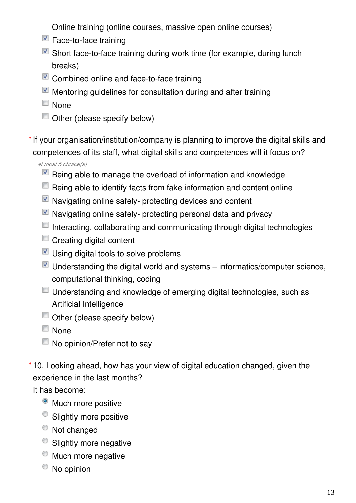Online training (online courses, massive open online courses)

- $\blacksquare$  Face-to-face training
- Short face-to-face training during work time (for example, during lunch breaks)
- Combined online and face-to-face training
- $\blacksquare$  Mentoring guidelines for consultation during and after training
- None
- Other (please specify below)

\* If your organisation/institution/company is planning to improve the digital skills and competences of its staff, what digital skills and competences will it focus on?

*at most 5 choice(s)*

- $\blacksquare$  Being able to manage the overload of information and knowledge
- $\Box$  Being able to identify facts from fake information and content online
- $\blacksquare$  Navigating online safely- protecting devices and content
- $\blacksquare$  Navigating online safely- protecting personal data and privacy
- $\Box$  Interacting, collaborating and communicating through digital technologies
- Creating digital content
- $\blacksquare$  Using digital tools to solve problems
- $\blacksquare$  Understanding the digital world and systems informatics/computer science, computational thinking, coding
- $\Box$  Understanding and knowledge of emerging digital technologies, such as Artificial Intelligence
- Other (please specify below)
- $\Box$  None
- No opinion/Prefer not to say
- 10. Looking ahead, how has your view of digital education changed, given the **\***experience in the last months?

It has become:

- Much more positive
- <sup>O</sup> Slightly more positive
- $\bullet$  Not changed
- Slightly more negative
- <sup>O</sup> Much more negative
- No opinion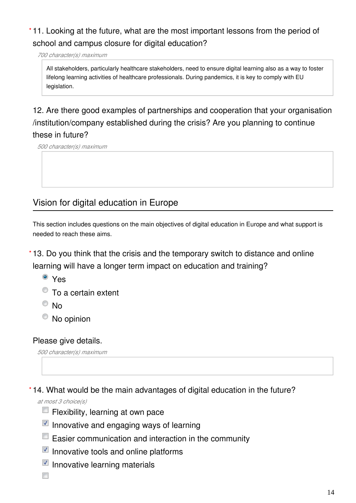# 11. Looking at the future, what are the most important lessons from the period of **\*** school and campus closure for digital education?

*700 character(s) maximum*

All stakeholders, particularly healthcare stakeholders, need to ensure digital learning also as a way to foster lifelong learning activities of healthcare professionals. During pandemics, it is key to comply with EU legislation.

# 12. Are there good examples of partnerships and cooperation that your organisation /institution/company established during the crisis? Are you planning to continue these in future?

*500 character(s) maximum*

# Vision for digital education in Europe

This section includes questions on the main objectives of digital education in Europe and what support is needed to reach these aims.

13. Do you think that the crisis and the temporary switch to distance and online **\*** learning will have a longer term impact on education and training?

- <sup>O</sup> Yes
- To a certain extent
- $\odot$  No
- $\bullet$  No opinion

Please give details.

*500 character(s) maximum*

14. What would be the main advantages of digital education in the future? **\***

*at most 3 choice(s)*

- Flexibility, learning at own pace
- $\blacksquare$  Innovative and engaging ways of learning
- Easier communication and interaction in the community
- $\blacksquare$  Innovative tools and online platforms
- $\blacksquare$  Innovative learning materials

 $\overline{\phantom{a}}$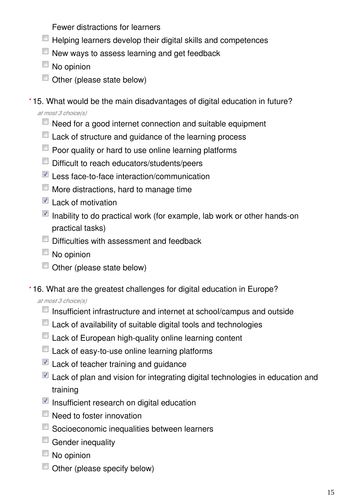Fewer distractions for learners

- $\Box$  Helping learners develop their digital skills and competences
- $\Box$  New ways to assess learning and get feedback
- No opinion
- Other (please state below)
- 15. What would be the main disadvantages of digital education in future? **\***

*at most 3 choice(s)*

- $\Box$  Need for a good internet connection and suitable equipment
- Lack of structure and guidance of the learning process
- $\Box$  Poor quality or hard to use online learning platforms
- Difficult to reach educators/students/peers
- Less face-to-face interaction/communication
- $\Box$  More distractions, hard to manage time
- $\blacksquare$  Lack of motivation
- $\blacksquare$  Inability to do practical work (for example, lab work or other hands-on practical tasks)
- $\Box$  Difficulties with assessment and feedback
- $\Box$  No opinion
- Other (please state below)
- 16. What are the greatest challenges for digital education in Europe? **\***

*at most 3 choice(s)*

- $\Box$  Insufficient infrastructure and internet at school/campus and outside
- Lack of availability of suitable digital tools and technologies
- **Lack of European high-quality online learning content**
- $\Box$  Lack of easy-to-use online learning platforms
- $\blacksquare$  Lack of teacher training and quidance
- $\blacksquare$  Lack of plan and vision for integrating digital technologies in education and training
- $\blacksquare$  Insufficient research on digital education
- Need to foster innovation
- Socioeconomic inequalities between learners
- $\Box$  Gender inequality
- $\Box$  No opinion
- Other (please specify below)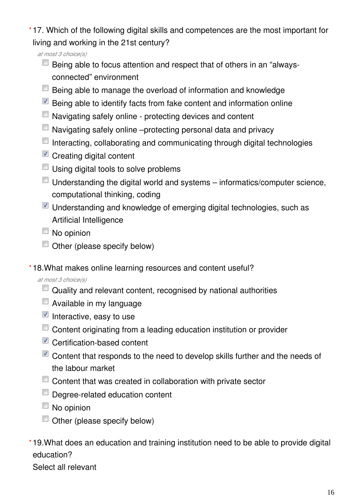17. Which of the following digital skills and competences are the most important for **\*** living and working in the 21st century?

*at most 3 choice(s)*

- $\Box$  Being able to focus attention and respect that of others in an "alwaysconnected" environment
- **Being able to manage the overload of information and knowledge**
- $\blacksquare$  Being able to identify facts from fake content and information online
- Navigating safely online protecting devices and content
- $\Box$  Navigating safely online –protecting personal data and privacy
- $\Box$  Interacting, collaborating and communicating through digital technologies
- Creating digital content
- Using digital tools to solve problems
- $\Box$  Understanding the digital world and systems informatics/computer science, computational thinking, coding
- $\blacksquare$  Understanding and knowledge of emerging digital technologies, such as Artificial Intelligence
- No opinion
- $\Box$  Other (please specify below)

18.What makes online learning resources and content useful? **\***

*at most 3 choice(s)*

- $\Box$  Quality and relevant content, recognised by national authorities
- $\Box$  Available in my language
- $\blacksquare$  Interactive, easy to use
- Content originating from a leading education institution or provider
- Certification-based content
- $\blacksquare$  Content that responds to the need to develop skills further and the needs of the labour market
- Content that was created in collaboration with private sector
- Degree-related education content
- $\blacksquare$  No opinion
- $\Box$  Other (please specify below)
- 19.What does an education and training institution need to be able to provide digital **\***education?

Select all relevant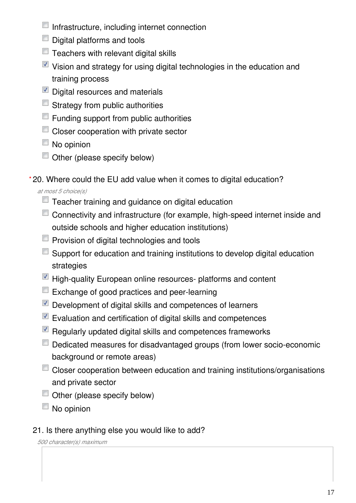- $\blacksquare$  Infrastructure, including internet connection
- Digital platforms and tools
- $\Box$  Teachers with relevant digital skills
- $\blacksquare$  Vision and strategy for using digital technologies in the education and training process
- Digital resources and materials
- $\blacksquare$  Strategy from public authorities
- $\Box$  Funding support from public authorities
- Closer cooperation with private sector
- $\Box$  No opinion
- $\Box$  Other (please specify below)
- 20. Where could the EU add value when it comes to digital education? **\***

*at most 5 choice(s)*

- Teacher training and guidance on digital education
- Connectivity and infrastructure (for example, high-speed internet inside and outside schools and higher education institutions)
- **Provision of digital technologies and tools**
- $\Box$  Support for education and training institutions to develop digital education strategies
- $\blacksquare$  High-quality European online resources- platforms and content
- $\Box$  Exchange of good practices and peer-learning
- $\nabla$  Development of digital skills and competences of learners
- $\blacksquare$  Evaluation and certification of digital skills and competences
- $\blacksquare$  Regularly updated digital skills and competences frameworks
- Dedicated measures for disadvantaged groups (from lower socio-economic background or remote areas)
- Closer cooperation between education and training institutions/organisations and private sector
- $\Box$  Other (please specify below)
- No opinion

# 21. Is there anything else you would like to add?

*500 character(s) maximum*